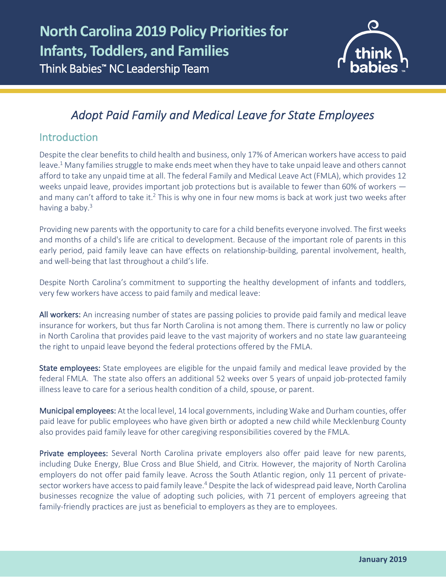

# *Adopt Paid Family and Medical Leave for State Employees*

# Introduction

l

Despite the clear benefits to child health and business, only 17% of American workers have access to paid leave.1 Many families struggle to make ends meet when they have to take unpaid leave and others cannot afford to take any unpaid time at all. The federal Family and Medical Leave Act (FMLA), which provides 12 weeks unpaid leave, provides important job protections but is available to fewer than 60% of workers and many can't afford to take it.<sup>2</sup> This is why one in four new moms is back at work just two weeks after having a baby.<sup>3</sup>

Providing new parents with the opportunity to care for a child benefits everyone involved. The first weeks and months of a child's life are critical to development. Because of the important role of parents in this early period, paid family leave can have effects on relationship-building, parental involvement, health, and well-being that last throughout a child's life.

Despite North Carolina's commitment to supporting the healthy development of infants and toddlers, very few workers have access to paid family and medical leave:

All workers: An increasing number of states are passing policies to provide paid family and medical leave insurance for workers, but thus far North Carolina is not among them. There is currently no law or policy in North Carolina that provides paid leave to the vast majority of workers and no state law guaranteeing the right to unpaid leave beyond the federal protections offered by the FMLA.

State employees: State employees are eligible for the unpaid family and medical leave provided by the federal FMLA. The state also offers an additional 52 weeks over 5 years of unpaid job-protected family illness leave to care for a serious health condition of a child, spouse, or parent.

Municipal employees: At the local level, 14 local governments, including Wake and Durham counties, offer paid leave for public employees who have given birth or adopted a new child while Mecklenburg County also provides paid family leave for other caregiving responsibilities covered by the FMLA.

Private employees: Several North Carolina private employers also offer paid leave for new parents, including Duke Energy, Blue Cross and Blue Shield, and Citrix. However, the majority of North Carolina employers do not offer paid family leave. Across the South Atlantic region, only 11 percent of privatesector workers have access to paid family leave.<sup>4</sup> Despite the lack of widespread paid leave, North Carolina businesses recognize the value of adopting such policies, with 71 percent of employers agreeing that family-friendly practices are just as beneficial to employers as they are to employees.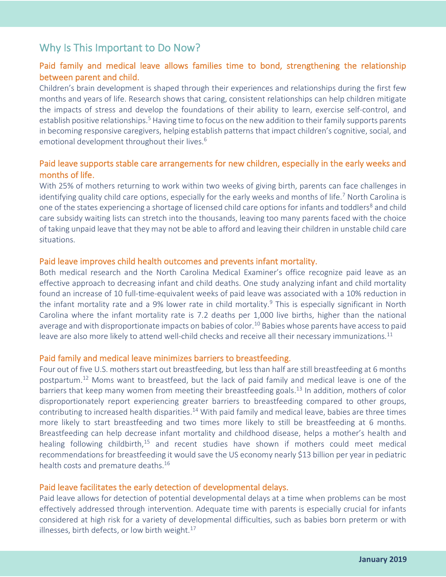# Why Is This Important to Do Now?

## Paid family and medical leave allows families time to bond, strengthening the relationship between parent and child.

Children's brain development is shaped through their experiences and relationships during the first few months and years of life. Research shows that caring, consistent relationships can help children mitigate the impacts of stress and develop the foundations of their ability to learn, exercise self-control, and establish positive relationships.<sup>5</sup> Having time to focus on the new addition to their family supports parents in becoming responsive caregivers, helping establish patterns that impact children's cognitive, social, and emotional development throughout their lives.<sup>6</sup>

### Paid leave supports stable care arrangements for new children, especially in the early weeks and months of life.

With 25% of mothers returning to work within two weeks of giving birth, parents can face challenges in identifying quality child care options, especially for the early weeks and months of life.<sup>7</sup> North Carolina is one of the states experiencing a shortage of licensed child care options for infants and toddlers<sup>8</sup> and child care subsidy waiting lists can stretch into the thousands, leaving too many parents faced with the choice of taking unpaid leave that they may not be able to afford and leaving their children in unstable child care situations.

#### Paid leave improves child health outcomes and prevents infant mortality.

Both medical research and the North Carolina Medical Examiner's office recognize paid leave as an effective approach to decreasing infant and child deaths. One study analyzing infant and child mortality found an increase of 10 full-time-equivalent weeks of paid leave was associated with a 10% reduction in the infant mortality rate and a 9% lower rate in child mortality.<sup>9</sup> This is especially significant in North Carolina where the infant mortality rate is 7.2 deaths per 1,000 live births, higher than the national average and with disproportionate impacts on babies of color.<sup>10</sup> Babies whose parents have access to paid leave are also more likely to attend well-child checks and receive all their necessary immunizations.<sup>11</sup>

#### Paid family and medical leave minimizes barriers to breastfeeding.

Four out of five U.S. mothers start out breastfeeding, but less than half are still breastfeeding at 6 months postpartum.12 Moms want to breastfeed, but the lack of paid family and medical leave is one of the barriers that keep many women from meeting their breastfeeding goals.<sup>13</sup> In addition, mothers of color disproportionately report experiencing greater barriers to breastfeeding compared to other groups, contributing to increased health disparities.14 With paid family and medical leave, babies are three times more likely to start breastfeeding and two times more likely to still be breastfeeding at 6 months. Breastfeeding can help decrease infant mortality and childhood disease, helps a mother's health and healing following childbirth,<sup>15</sup> and recent studies have shown if mothers could meet medical recommendations for breastfeeding it would save the US economy nearly \$13 billion per year in pediatric health costs and premature deaths.<sup>16</sup>

#### Paid leave facilitates the early detection of developmental delays.

Paid leave allows for detection of potential developmental delays at a time when problems can be most effectively addressed through intervention. Adequate time with parents is especially crucial for infants considered at high risk for a variety of developmental difficulties, such as babies born preterm or with illnesses, birth defects, or low birth weight. $17$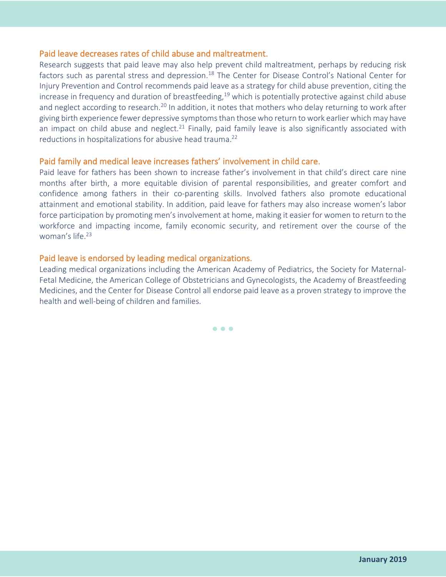### Paid leave decreases rates of child abuse and maltreatment.

Research suggests that paid leave may also help prevent child maltreatment, perhaps by reducing risk factors such as parental stress and depression.<sup>18</sup> The Center for Disease Control's National Center for Injury Prevention and Control recommends paid leave as a strategy for child abuse prevention, citing the increase in frequency and duration of breastfeeding,  $19$  which is potentially protective against child abuse and neglect according to research.<sup>20</sup> In addition, it notes that mothers who delay returning to work after giving birth experience fewer depressive symptoms than those who return to work earlier which may have an impact on child abuse and neglect.<sup>21</sup> Finally, paid family leave is also significantly associated with reductions in hospitalizations for abusive head trauma.<sup>22</sup>

#### Paid family and medical leave increases fathers' involvement in child care.

Paid leave for fathers has been shown to increase father's involvement in that child's direct care nine months after birth, a more equitable division of parental responsibilities, and greater comfort and confidence among fathers in their co-parenting skills. Involved fathers also promote educational attainment and emotional stability. In addition, paid leave for fathers may also increase women's labor force participation by promoting men's involvement at home, making it easier for women to return to the workforce and impacting income, family economic security, and retirement over the course of the woman's life.23

#### Paid leave is endorsed by leading medical organizations.

Leading medical organizations including the American Academy of Pediatrics, the Society for Maternal-Fetal Medicine, the American College of Obstetricians and Gynecologists, the Academy of Breastfeeding Medicines, and the Center for Disease Control all endorse paid leave as a proven strategy to improve the health and well-being of children and families.

• • •